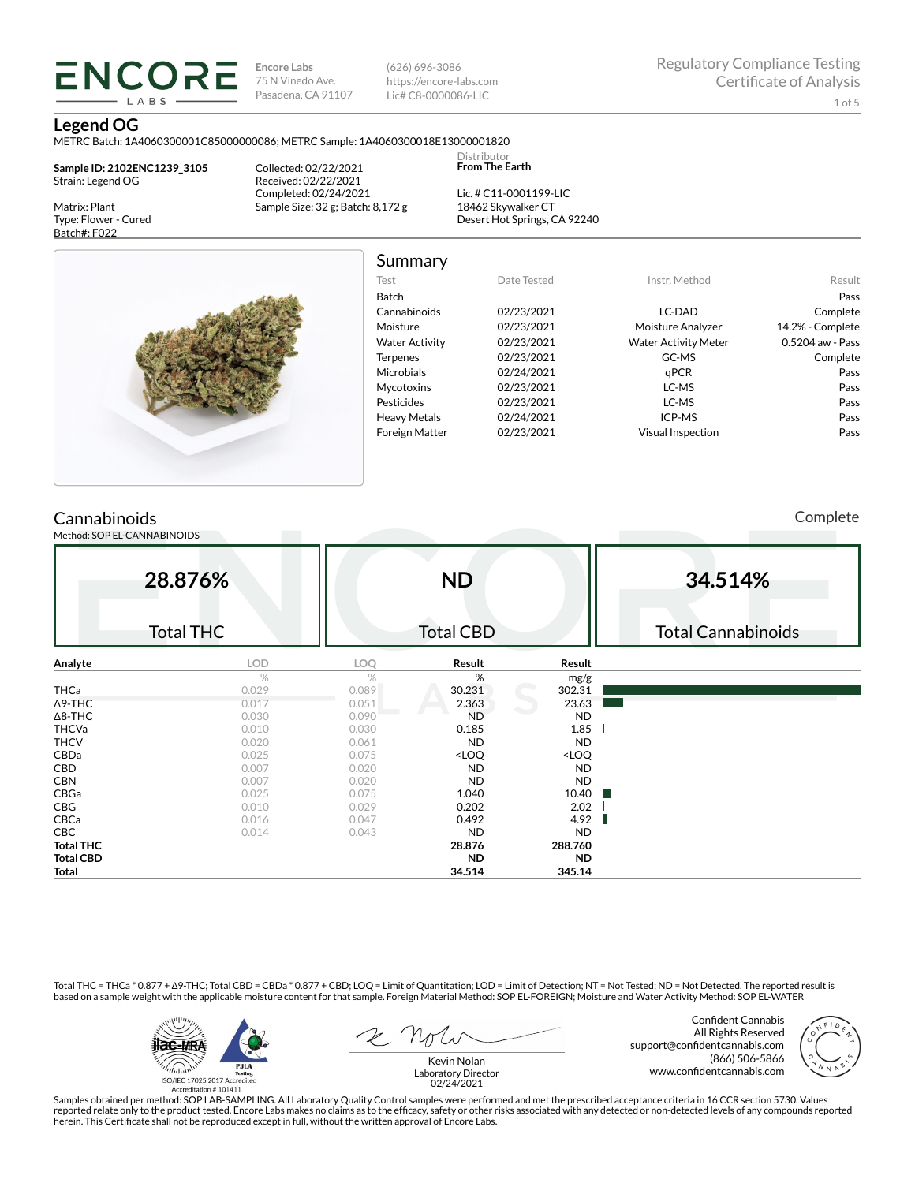(626) 696-3086 https://encore-labs.com Lic# C8-0000086-LIC

Summary

Distributor **From The Earth**

#### **Legend OG**

Matrix: Plant Type: Flower - Cured Batch#: F022

METRC Batch: 1A4060300001C85000000086; METRC Sample: 1A4060300018E13000001820

**Sample ID: 2102ENC1239\_3105** Strain: Legend OG

**ENCORE** LABS

> Collected: 02/22/2021 Received: 02/22/2021 Completed: 02/24/2021 Sample Size: 32 g; Batch: 8,172 g

Lic. # C11-0001199-LIC 18462 Skywalker CT Desert Hot Springs, CA 92240



| Test                  | Date Tested | Instr. Method               | Result             |
|-----------------------|-------------|-----------------------------|--------------------|
| Batch                 |             |                             | Pass               |
| Cannabinoids          | 02/23/2021  | LC-DAD                      | Complete           |
| Moisture              | 02/23/2021  | Moisture Analyzer           | 14.2% - Complete   |
| <b>Water Activity</b> | 02/23/2021  | <b>Water Activity Meter</b> | $0.5204$ aw - Pass |
| <b>Terpenes</b>       | 02/23/2021  | GC-MS                       | Complete           |
| Microbials            | 02/24/2021  | qPCR                        | Pass               |
| <b>Mycotoxins</b>     | 02/23/2021  | LC-MS                       | Pass               |
| Pesticides            | 02/23/2021  | LC-MS                       | Pass               |
| <b>Heavy Metals</b>   | 02/24/2021  | ICP-MS                      | Pass               |
| <b>Foreign Matter</b> | 02/23/2021  | <b>Visual Inspection</b>    | Pass               |

# **Cannabinoids**

Method: SOP EL-CANNABINOIDS

Complete

|                  | 28.876%<br><b>Total THC</b> |       | <b>ND</b><br><b>Total CBD</b>                            |                              | 34.514%<br><b>Total Cannabinoids</b> |
|------------------|-----------------------------|-------|----------------------------------------------------------|------------------------------|--------------------------------------|
| Analyte          | <b>LOD</b>                  | LOQ   | Result                                                   | Result                       |                                      |
|                  | $\%$                        | %     | %                                                        | mg/g                         |                                      |
| <b>THCa</b>      | 0.029                       | 0.089 | 30.231                                                   | 302.31                       |                                      |
| $\Delta$ 9-THC   | 0.017                       | 0.051 | 2.363                                                    | 23.63                        |                                      |
| $\Delta$ 8-THC   | 0.030                       | 0.090 | <b>ND</b>                                                | <b>ND</b>                    |                                      |
| <b>THCVa</b>     | 0.010                       | 0.030 | 0.185                                                    | 1.85                         |                                      |
| <b>THCV</b>      | 0.020                       | 0.061 | <b>ND</b>                                                | <b>ND</b>                    |                                      |
| CBDa             | 0.025                       | 0.075 | <loq< td=""><td><loq< td=""><td></td></loq<></td></loq<> | <loq< td=""><td></td></loq<> |                                      |
| CBD              | 0.007                       | 0.020 | <b>ND</b>                                                | <b>ND</b>                    |                                      |
| <b>CBN</b>       | 0.007                       | 0.020 | <b>ND</b>                                                | <b>ND</b>                    |                                      |
| CBGa             | 0.025                       | 0.075 | 1.040                                                    | 10.40                        |                                      |
| CBG              | 0.010                       | 0.029 | 0.202                                                    | 2.02                         |                                      |
| CBCa             | 0.016                       | 0.047 | 0.492                                                    | 4.92                         |                                      |
| CBC              | 0.014                       | 0.043 | <b>ND</b>                                                | <b>ND</b>                    |                                      |
| <b>Total THC</b> |                             |       | 28.876                                                   | 288.760                      |                                      |
| <b>Total CBD</b> |                             |       | ND.                                                      | <b>ND</b>                    |                                      |
| Total            |                             |       | 34.514                                                   | 345.14                       |                                      |

Total THC = THCa \* 0.877 + ∆9-THC; Total CBD = CBDa \* 0.877 + CBD; LOQ = Limit of Quantitation; LOD = Limit of Detection; NT = Not Tested; ND = Not Detected. The reported result is based on a sample weight with the applicable moisture content for that sample. Foreign Material Method: SOP EL-FOREIGN; Moisture and Water Activity Method: SOP EL-WATER



Confident Cannabis All Rights Reserved support@confidentcannabis.com (866) 506-5866 www.confidentcannabis.com



Kevin Nolan Laboratory Director 02/24/2021

Samples obtained per method: SOP LAB-SAMPLING. All Laboratory Quality Control samples were performed and met the prescribed acceptance criteria in 16 CCR section 5730. Values reported relate only to the product tested. Encore Labs makes no claims as to the efficacy, safety or other risks associated with any detected or non-detected levels of any compounds reported<br>herein. This Certificate shall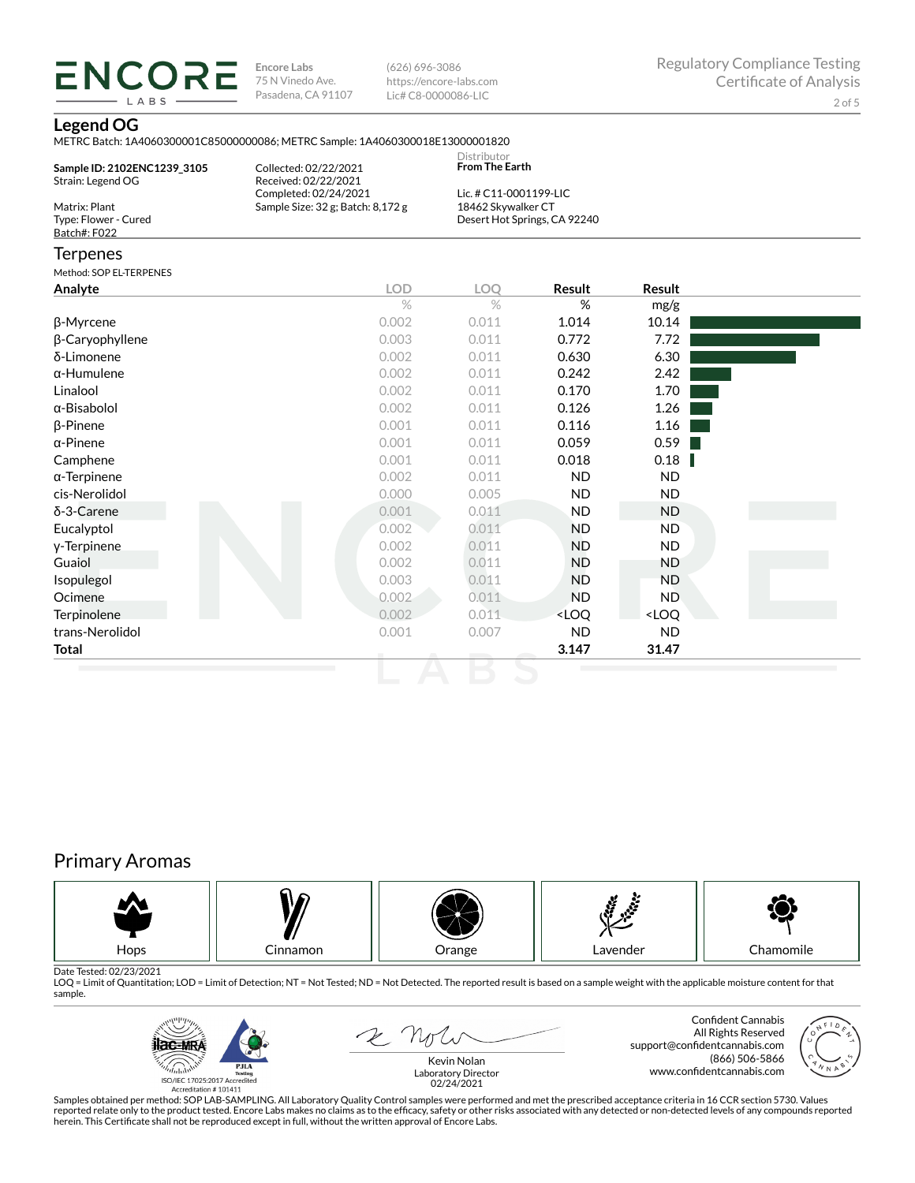(626) 696-3086 https://encore-labs.com Lic# C8-0000086-LIC

## **Legend OG**

**ENCORE** LABS

METRC Batch: 1A4060300001C85000000086; METRC Sample: 1A4060300018E13000001820

| Sample ID: 2102ENC1239 3105<br>Strain: Legend OG | Collected: 02/22/2021<br>Received: 02/22/2021<br>Completed: 02/24/2021 | Distributor<br><b>From The Earth</b><br>Lic. # C11-0001199-LIC |                              |               |  |
|--------------------------------------------------|------------------------------------------------------------------------|----------------------------------------------------------------|------------------------------|---------------|--|
| Matrix: Plant                                    | Sample Size: 32 g; Batch: 8,172 g                                      | 18462 Skywalker CT                                             |                              |               |  |
| Type: Flower - Cured                             |                                                                        |                                                                | Desert Hot Springs, CA 92240 |               |  |
| Batch#: F022                                     |                                                                        |                                                                |                              |               |  |
| <b>Terpenes</b>                                  |                                                                        |                                                                |                              |               |  |
| Method: SOP EL-TERPENES                          |                                                                        |                                                                |                              |               |  |
| Analyte                                          | <b>LOD</b>                                                             | LOO                                                            | <b>Result</b>                | <b>Result</b> |  |
|                                                  | $\%$                                                                   | $\%$                                                           | %                            | mg/g          |  |
|                                                  |                                                                        |                                                                |                              |               |  |

| $\beta$ -Myrcene    | 0.002 | 0.011 | 1.014                                                    | 10.14                        |  |
|---------------------|-------|-------|----------------------------------------------------------|------------------------------|--|
| β-Caryophyllene     | 0.003 | 0.011 | 0.772                                                    | 7.72                         |  |
| δ-Limonene          | 0.002 | 0.011 | 0.630                                                    | 6.30                         |  |
| $\alpha$ -Humulene  | 0.002 | 0.011 | 0.242                                                    | 2.42                         |  |
| Linalool            | 0.002 | 0.011 | 0.170                                                    | 1.70                         |  |
| α-Bisabolol         | 0.002 | 0.011 | 0.126                                                    | 1.26                         |  |
| $\beta$ -Pinene     | 0.001 | 0.011 | 0.116                                                    | 1.16                         |  |
| $\alpha$ -Pinene    | 0.001 | 0.011 | 0.059                                                    | 0.59                         |  |
| Camphene            | 0.001 | 0.011 | 0.018                                                    | 0.18                         |  |
| $\alpha$ -Terpinene | 0.002 | 0.011 | ND.                                                      | ND.                          |  |
| cis-Nerolidol       | 0.000 | 0.005 | ND.                                                      | ND                           |  |
| $\delta$ -3-Carene  | 0.001 | 0.011 | ND.                                                      | ND                           |  |
| Eucalyptol          | 0.002 | 0.011 | <b>ND</b>                                                | ND.                          |  |
| y-Terpinene         | 0.002 | 0.011 | <b>ND</b>                                                | ND.                          |  |
| Guaiol              | 0.002 | 0.011 | <b>ND</b>                                                | ND                           |  |
| Isopulegol          | 0.003 | 0.011 | <b>ND</b>                                                | <b>ND</b>                    |  |
| Ocimene             | 0.002 | 0.011 | <b>ND</b>                                                | ND.                          |  |
| Terpinolene         | 0.002 | 0.011 | <loq< th=""><th><loq< th=""><th></th></loq<></th></loq<> | <loq< th=""><th></th></loq<> |  |
| trans-Nerolidol     | 0.001 | 0.007 | ND.                                                      | ND                           |  |
| Total               |       |       | 3.147                                                    | 31.47                        |  |
|                     |       |       |                                                          |                              |  |

# Primary Aromas



Date Tested: 02/23/2021<br>LOQ = Limit of Quantitation; LOD = Limit of Detection; NT = Not Tested; ND = Not Detected. The reported result is based on a sample weight with the applicable moisture content for that sample.



2 Not

Confident Cannabis All Rights Reserved support@confidentcannabis.com (866) 506-5866 www.confidentcannabis.com



Kevin Nolan Laboratory Director 02/24/2021

Samples obtained per method: SOP LAB-SAMPLING. All Laboratory Quality Control samples were performed and met the prescribed acceptance criteria in 16 CCR section 5730. Values reported relate only to the product tested. Encore Labs makes no claims as to the efficacy, safety or other risks associated with any detected or non-detected levels of any compounds reported<br>herein. This Certificate shall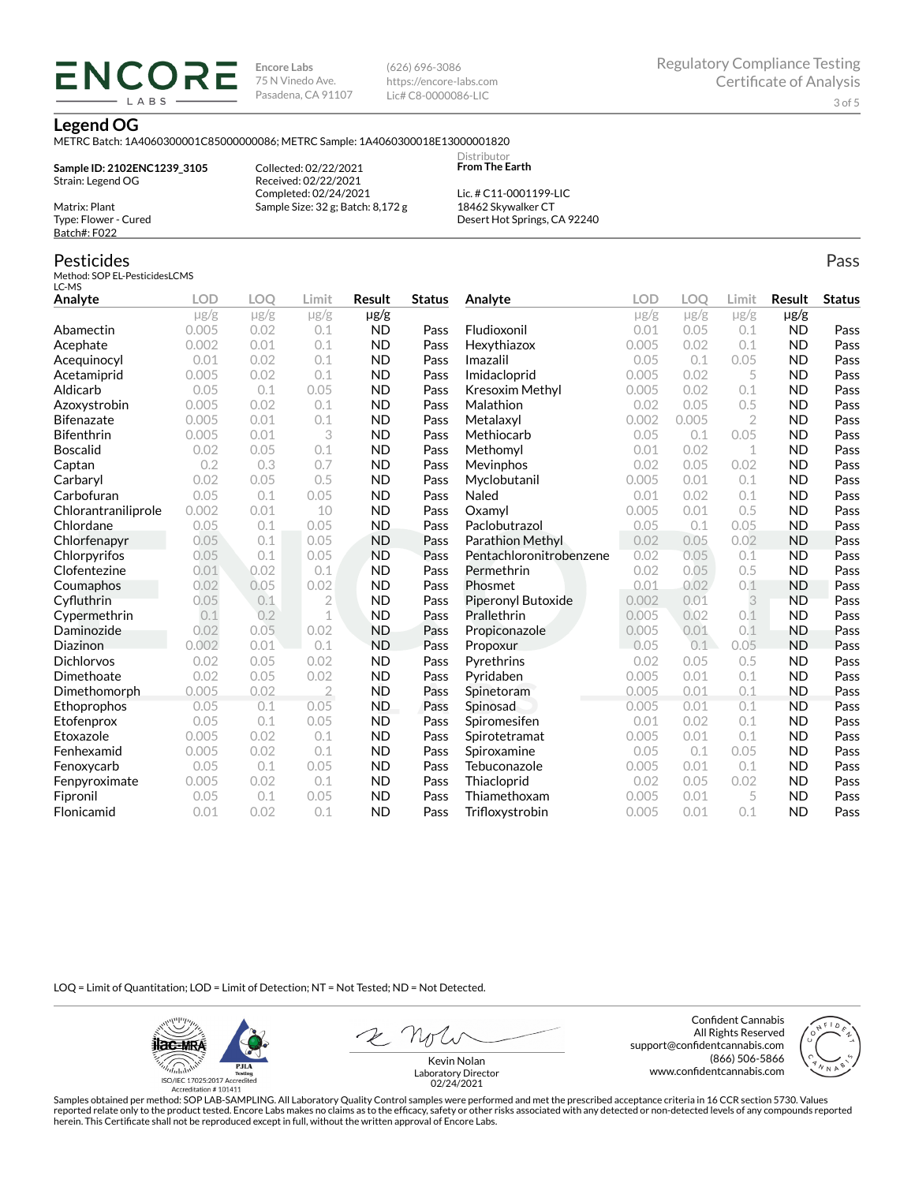(626) 696-3086 https://encore-labs.com Lic# C8-0000086-LIC

#### **Legend OG**

METRC Batch: 1A4060300001C85000000086; METRC Sample: 1A4060300018E13000001820

**Sample ID: 2102ENC1239\_3105** Strain: Legend OG Matrix: Plant

ENCOR LABS

> Collected: 02/22/2021 Received: 02/22/2021 Completed: 02/24/2021 Sample Size: 32 g; Batch: 8,172 g

Lic. # C11-0001199-LIC 18462 Skywalker CT Desert Hot Springs, CA 92240

Distributor **From The Earth**

## Pesticides

Type: Flower - Cured Batch#: F022

Method: SOP EL-PesticidesLCMS LC-MS

| Analyte             | <b>LOD</b> | <b>LOO</b> | Limit          | Result    | <b>Status</b> | Analyte                 | LOD       | LOO       | Limit          | Result    | <b>Status</b> |
|---------------------|------------|------------|----------------|-----------|---------------|-------------------------|-----------|-----------|----------------|-----------|---------------|
|                     | $\mu$ g/g  | $\mu$ g/g  | $\mu$ g/g      | µg/g      |               |                         | $\mu$ g/g | $\mu$ g/g | $\mu$ g/g      | $\mu$ g/g |               |
| Abamectin           | 0.005      | 0.02       | 0.1            | <b>ND</b> | Pass          | Fludioxonil             | 0.01      | 0.05      | 0.1            | <b>ND</b> | Pass          |
| Acephate            | 0.002      | 0.01       | 0.1            | <b>ND</b> | Pass          | Hexythiazox             | 0.005     | 0.02      | 0.1            | <b>ND</b> | Pass          |
| Acequinocyl         | 0.01       | 0.02       | 0.1            | <b>ND</b> | Pass          | Imazalil                | 0.05      | 0.1       | 0.05           | <b>ND</b> | Pass          |
| Acetamiprid         | 0.005      | 0.02       | 0.1            | <b>ND</b> | Pass          | Imidacloprid            | 0.005     | 0.02      | 5              | <b>ND</b> | Pass          |
| Aldicarb            | 0.05       | 0.1        | 0.05           | <b>ND</b> | Pass          | Kresoxim Methyl         | 0.005     | 0.02      | 0.1            | <b>ND</b> | Pass          |
| Azoxystrobin        | 0.005      | 0.02       | 0.1            | <b>ND</b> | Pass          | Malathion               | 0.02      | 0.05      | 0.5            | <b>ND</b> | Pass          |
| <b>Bifenazate</b>   | 0.005      | 0.01       | 0.1            | <b>ND</b> | Pass          | Metalaxyl               | 0.002     | 0.005     | $\overline{2}$ | <b>ND</b> | Pass          |
| <b>Bifenthrin</b>   | 0.005      | 0.01       | 3              | <b>ND</b> | Pass          | Methiocarb              | 0.05      | 0.1       | 0.05           | <b>ND</b> | Pass          |
| <b>Boscalid</b>     | 0.02       | 0.05       | 0.1            | <b>ND</b> | Pass          | Methomyl                | 0.01      | 0.02      | 1              | <b>ND</b> | Pass          |
| Captan              | 0.2        | 0.3        | 0.7            | <b>ND</b> | Pass          | Mevinphos               | 0.02      | 0.05      | 0.02           | <b>ND</b> | Pass          |
| Carbaryl            | 0.02       | 0.05       | 0.5            | <b>ND</b> | Pass          | Myclobutanil            | 0.005     | 0.01      | 0.1            | <b>ND</b> | Pass          |
| Carbofuran          | 0.05       | 0.1        | 0.05           | <b>ND</b> | Pass          | Naled                   | 0.01      | 0.02      | 0.1            | <b>ND</b> | Pass          |
| Chlorantraniliprole | 0.002      | 0.01       | 10             | <b>ND</b> | Pass          | Oxamvl                  | 0.005     | 0.01      | 0.5            | <b>ND</b> | Pass          |
| Chlordane           | 0.05       | 0.1        | 0.05           | <b>ND</b> | Pass          | Paclobutrazol           | 0.05      | 0.1       | 0.05           | <b>ND</b> | Pass          |
| Chlorfenapyr        | 0.05       | 0.1        | 0.05           | <b>ND</b> | Pass          | Parathion Methyl        | 0.02      | 0.05      | 0.02           | <b>ND</b> | Pass          |
| Chlorpyrifos        | 0.05       | 0.1        | 0.05           | <b>ND</b> | Pass          | Pentachloronitrobenzene | 0.02      | 0.05      | 0.1            | <b>ND</b> | Pass          |
| Clofentezine        | 0.01       | 0.02       | 0.1            | <b>ND</b> | Pass          | Permethrin              | 0.02      | 0.05      | 0.5            | <b>ND</b> | Pass          |
| Coumaphos           | 0.02       | 0.05       | 0.02           | <b>ND</b> | Pass          | Phosmet                 | 0.01      | 0.02      | 0.1            | <b>ND</b> | Pass          |
| Cyfluthrin          | 0.05       | 0.1        | $\overline{2}$ | <b>ND</b> | Pass          | Piperonyl Butoxide      | 0.002     | 0.01      | 3              | <b>ND</b> | Pass          |
| Cypermethrin        | 0.1        | 0.2        | $\mathbf 1$    | <b>ND</b> | Pass          | Prallethrin             | 0.005     | 0.02      | 0.1            | <b>ND</b> | Pass          |
| Daminozide          | 0.02       | 0.05       | 0.02           | <b>ND</b> | Pass          | Propiconazole           | 0.005     | 0.01      | 0.1            | <b>ND</b> | Pass          |
| Diazinon            | 0.002      | 0.01       | 0.1            | <b>ND</b> | Pass          | Propoxur                | 0.05      | 0.1       | 0.05           | <b>ND</b> | Pass          |
| <b>Dichlorvos</b>   | 0.02       | 0.05       | 0.02           | <b>ND</b> | Pass          | Pyrethrins              | 0.02      | 0.05      | 0.5            | <b>ND</b> | Pass          |
| Dimethoate          | 0.02       | 0.05       | 0.02           | <b>ND</b> | Pass          | Pyridaben               | 0.005     | 0.01      | 0.1            | <b>ND</b> | Pass          |
| Dimethomorph        | 0.005      | 0.02       | $\overline{2}$ | <b>ND</b> | Pass          | Spinetoram              | 0.005     | 0.01      | 0.1            | <b>ND</b> | Pass          |
| Ethoprophos         | 0.05       | 0.1        | 0.05           | ND.       | Pass          | Spinosad                | 0.005     | 0.01      | 0.1            | <b>ND</b> | Pass          |
| Etofenprox          | 0.05       | 0.1        | 0.05           | <b>ND</b> | Pass          | Spiromesifen            | 0.01      | 0.02      | 0.1            | <b>ND</b> | Pass          |
| Etoxazole           | 0.005      | 0.02       | 0.1            | <b>ND</b> | Pass          | Spirotetramat           | 0.005     | 0.01      | 0.1            | <b>ND</b> | Pass          |
| Fenhexamid          | 0.005      | 0.02       | 0.1            | <b>ND</b> | Pass          | Spiroxamine             | 0.05      | 0.1       | 0.05           | <b>ND</b> | Pass          |
| Fenoxycarb          | 0.05       | 0.1        | 0.05           | <b>ND</b> | Pass          | Tebuconazole            | 0.005     | 0.01      | 0.1            | <b>ND</b> | Pass          |
| Fenpyroximate       | 0.005      | 0.02       | 0.1            | <b>ND</b> | Pass          | Thiacloprid             | 0.02      | 0.05      | 0.02           | <b>ND</b> | Pass          |
| Fipronil            | 0.05       | 0.1        | 0.05           | <b>ND</b> | Pass          | Thiamethoxam            | 0.005     | 0.01      | 5              | <b>ND</b> | Pass          |
| Flonicamid          | 0.01       | 0.02       | 0.1            | <b>ND</b> | Pass          | Trifloxystrobin         | 0.005     | 0.01      | 0.1            | <b>ND</b> | Pass          |

LOQ = Limit of Quantitation; LOD = Limit of Detection; NT = Not Tested; ND = Not Detected.

**ilac-MRA PJLA**  $d_{\rm thbb}$ ISO/IEC 17025:2017 Ac Accreditation # 101411

Confident Cannabis All Rights Reserved support@confidentcannabis.com (866) 506-5866 www.confidentcannabis.com



Kevin Nolan Laboratory Director 02/24/2021

Samples obtained per method: SOP LAB-SAMPLING. All Laboratory Quality Control samples were performed and met the prescribed acceptance criteria in 16 CCR section 5730. Values reported relate only to the product tested. Encore Labs makes no claims as to the efficacy, safety or other risks associated with any detected or non-detected levels of any compounds reported<br>herein. This Certificate shall

Pass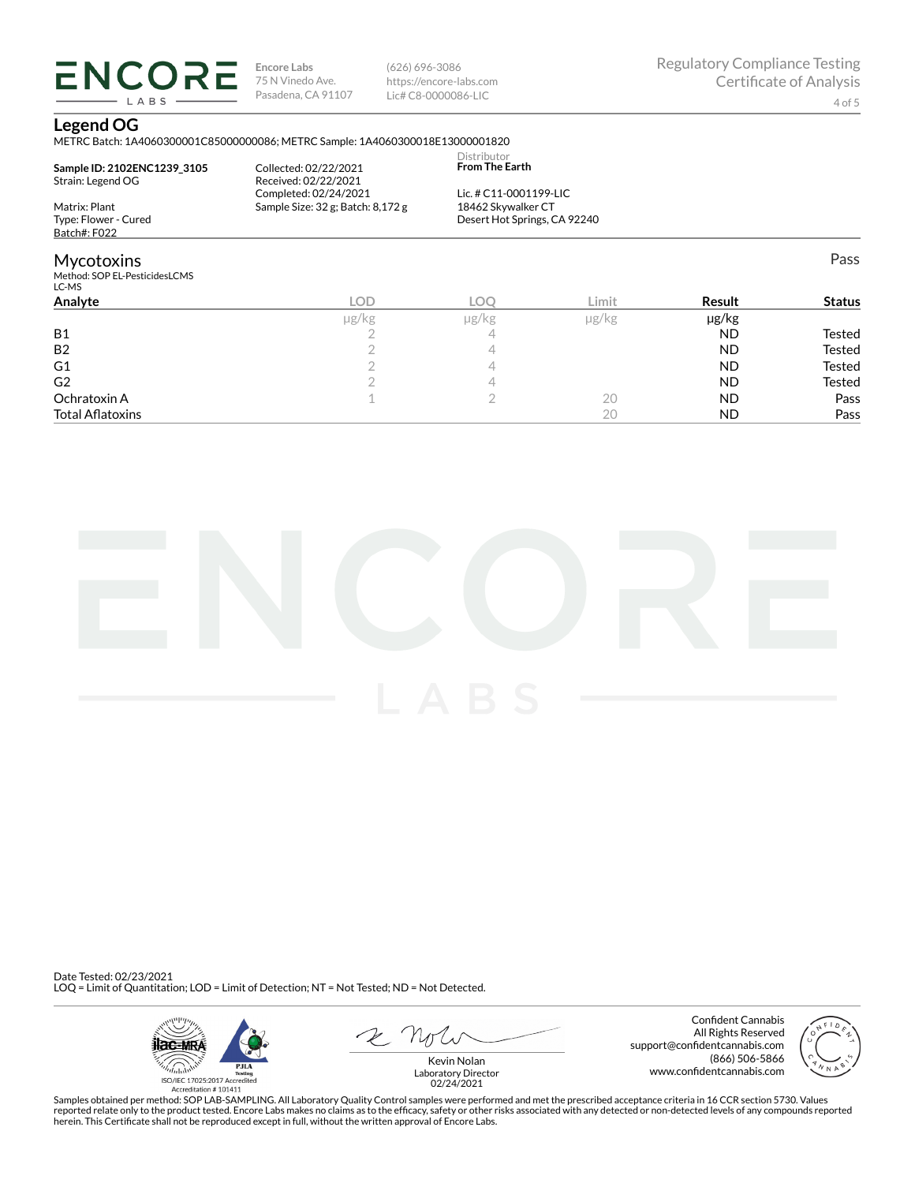(626) 696-3086 https://encore-labs.com Lic# C8-0000086-LIC

Pass

## **Legend OG**

**ENCORE** LABS

METRC Batch: 1A4060300001C85000000086; METRC Sample: 1A4060300018E13000001820

| <b>Mycotoxins</b>           |                                   |                                      |  |
|-----------------------------|-----------------------------------|--------------------------------------|--|
| Batch#: F022                |                                   |                                      |  |
| Type: Flower - Cured        |                                   | Desert Hot Springs, CA 92240         |  |
| Matrix: Plant               | Sample Size: 32 g; Batch: 8,172 g | 18462 Skywalker CT                   |  |
|                             | Completed: 02/24/2021             | Lic. # $C11-0001199-LLC$             |  |
| Strain: Legend OG           | Received: 02/22/2021              |                                      |  |
| Sample ID: 2102ENC1239 3105 | Collected: 02/22/2021             | Distributor<br><b>From The Earth</b> |  |

Mycotoxins Method: SOP EL-PesticidesLCMS LC-MS

| -- - --<br>Analyte      | <b>LOD</b> | LOC   | Limit         | Result    | <b>Status</b> |
|-------------------------|------------|-------|---------------|-----------|---------------|
|                         | µg/kg      | µg/kg | $\mu$ g/ $kg$ | µg/kg     |               |
| <b>B1</b>               |            |       |               | <b>ND</b> | Tested        |
| B <sub>2</sub>          |            |       |               | <b>ND</b> | Tested        |
| G1                      |            |       |               | <b>ND</b> | Tested        |
| G <sub>2</sub>          |            |       |               | <b>ND</b> | Tested        |
| Ochratoxin A            |            |       | 20            | <b>ND</b> | Pass          |
| <b>Total Aflatoxins</b> |            |       | 20            | <b>ND</b> | Pass          |



Date Tested: 02/23/2021 LOQ = Limit of Quantitation; LOD = Limit of Detection; NT = Not Tested; ND = Not Detected.



Confident Cannabis All Rights Reserved support@confidentcannabis.com (866) 506-5866 www.confidentcannabis.com



Kevin Nolan Laboratory Director 02/24/2021

Samples obtained per method: SOP LAB-SAMPLING. All Laboratory Quality Control samples were performed and met the prescribed acceptance criteria in 16 CCR section 5730. Values reported relate only to the product tested. Encore Labs makes no claims as to the efficacy, safety or other risks associated with any detected or non-detected levels of any compounds reported<br>herein. This Certificate shall